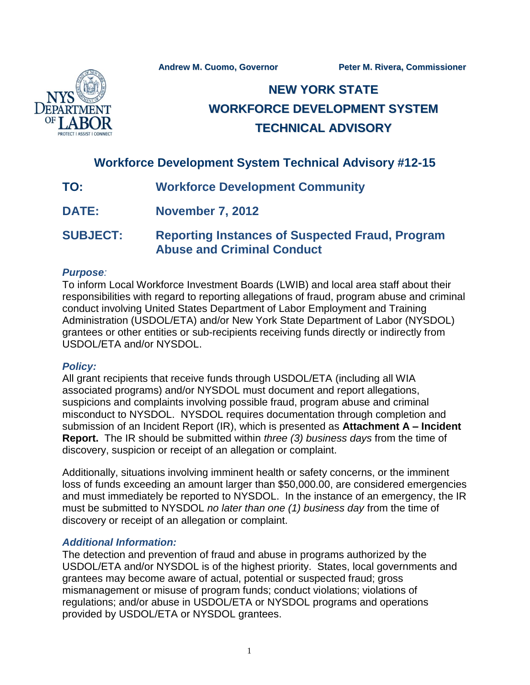

# **NEW YORK STATE WORKFORCE DEVELOPMENT SYSTEM TECHNICAL ADVISORY**

**Workforce Development System Technical Advisory #12-15**

- **TO: Workforce Development Community**
- **DATE: November 7, 2012**

## **SUBJECT: Reporting Instances of Suspected Fraud, Program Abuse and Criminal Conduct**

### *Purpose:*

To inform Local Workforce Investment Boards (LWIB) and local area staff about their responsibilities with regard to reporting allegations of fraud, program abuse and criminal conduct involving United States Department of Labor Employment and Training Administration (USDOL/ETA) and/or New York State Department of Labor (NYSDOL) grantees or other entities or sub-recipients receiving funds directly or indirectly from USDOL/ETA and/or NYSDOL.

#### *Policy:*

All grant recipients that receive funds through USDOL/ETA (including all WIA associated programs) and/or NYSDOL must document and report allegations, suspicions and complaints involving possible fraud, program abuse and criminal misconduct to NYSDOL. NYSDOL requires documentation through completion and submission of an Incident Report (IR), which is presented as **Attachment A – Incident Report.** The IR should be submitted within *three (3) business days* from the time of discovery, suspicion or receipt of an allegation or complaint.

Additionally, situations involving imminent health or safety concerns, or the imminent loss of funds exceeding an amount larger than \$50,000.00, are considered emergencies and must immediately be reported to NYSDOL. In the instance of an emergency, the IR must be submitted to NYSDOL *no later than one (1) business day* from the time of discovery or receipt of an allegation or complaint.

#### *Additional Information:*

The detection and prevention of fraud and abuse in programs authorized by the USDOL/ETA and/or NYSDOL is of the highest priority. States, local governments and grantees may become aware of actual, potential or suspected fraud; gross mismanagement or misuse of program funds; conduct violations; violations of regulations; and/or abuse in USDOL/ETA or NYSDOL programs and operations provided by USDOL/ETA or NYSDOL grantees.